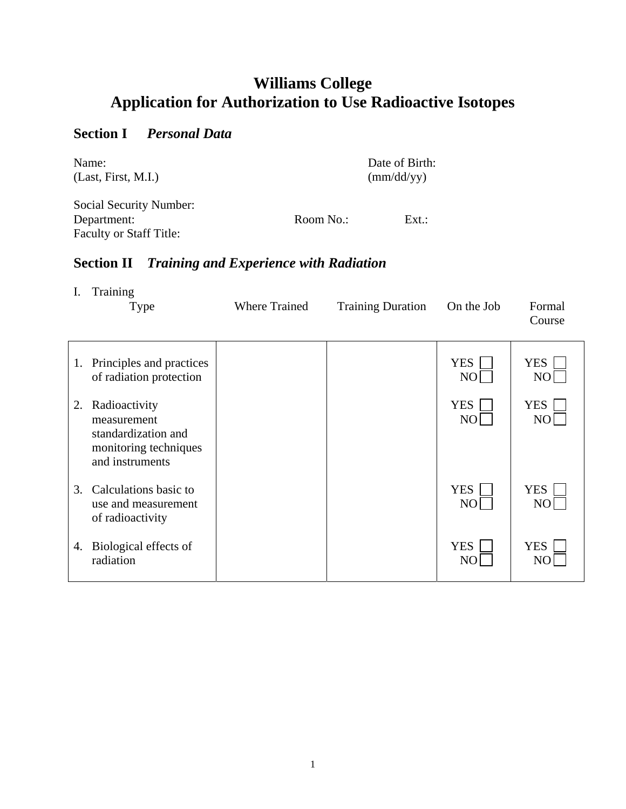# **Williams College Application for Authorization to Use Radioactive Isotopes**

### **Section I** *Personal Data*

Faculty or Staff Title:

| Name:                          |           | Date of Birth:      |
|--------------------------------|-----------|---------------------|
| (Last, First, M.I.)            |           | $\text{(mm/dd/yy)}$ |
| <b>Social Security Number:</b> |           |                     |
| Department:                    | Room No.: | $Ext.$ :            |

# **Section II** *Training and Experience with Radiation*

|    | Training<br><b>Type</b>                                                                         | <b>Where Trained</b> | <b>Training Duration</b> | On the Job                   | Formal<br>Course             |
|----|-------------------------------------------------------------------------------------------------|----------------------|--------------------------|------------------------------|------------------------------|
|    | 1. Principles and practices<br>of radiation protection                                          |                      |                          | <b>YES</b><br>N <sub>O</sub> | <b>YES</b><br>N <sub>O</sub> |
| 2. | Radioactivity<br>measurement<br>standardization and<br>monitoring techniques<br>and instruments |                      |                          | <b>YES</b><br>N <sub>O</sub> | <b>YES</b><br>N <sub>O</sub> |
| 3. | Calculations basic to<br>use and measurement<br>of radioactivity                                |                      |                          | <b>YES</b><br>N <sub>O</sub> | <b>YES</b><br>N <sub>O</sub> |
| 4. | Biological effects of<br>radiation                                                              |                      |                          | <b>YES</b><br>NO             | <b>YES</b>                   |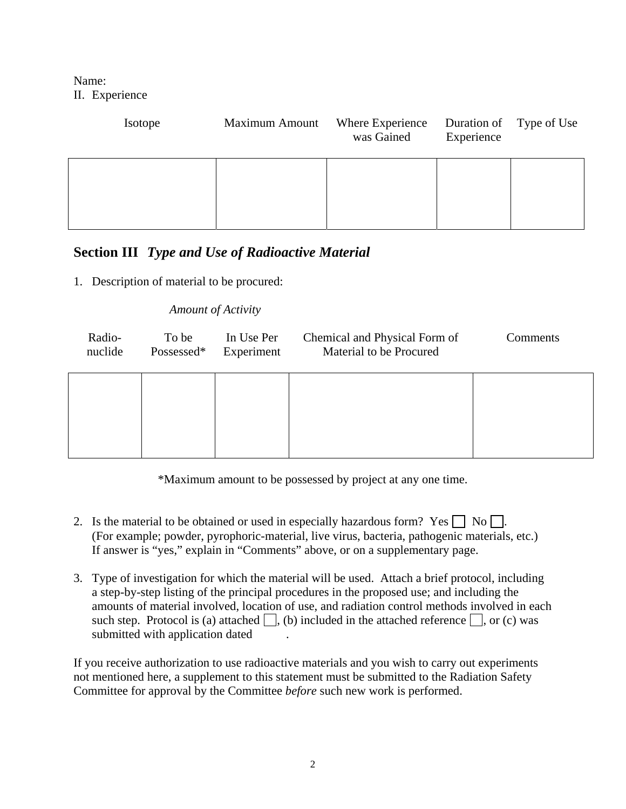Name: II. Experience

| Isotope | <b>Maximum Amount</b> | Where Experience<br>was Gained | Duration of Type of Use<br>Experience |  |
|---------|-----------------------|--------------------------------|---------------------------------------|--|
|         |                       |                                |                                       |  |

#### **Section III** *Type and Use of Radioactive Material*

1. Description of material to be procured:

#### *Amount of Activity*

| Radio-  | To be      | In Use Per | Chemical and Physical Form of | Comments |
|---------|------------|------------|-------------------------------|----------|
| nuclide | Possessed* | Experiment | Material to be Procured       |          |
|         |            |            |                               |          |

\*Maximum amount to be possessed by project at any one time.

- 2. Is the material to be obtained or used in especially hazardous form? Yes  $\Box$  No  $\Box$ . (For example; powder, pyrophoric-material, live virus, bacteria, pathogenic materials, etc.) If answer is "yes," explain in "Comments" above, or on a supplementary page.
- 3. Type of investigation for which the material will be used. Attach a brief protocol, including a step-by-step listing of the principal procedures in the proposed use; and including the amounts of material involved, location of use, and radiation control methods involved in each such step. Protocol is (a) attached  $\Box$ , (b) included in the attached reference  $\Box$ , or (c) was submitted with application dated

If you receive authorization to use radioactive materials and you wish to carry out experiments not mentioned here, a supplement to this statement must be submitted to the Radiation Safety Committee for approval by the Committee *before* such new work is performed.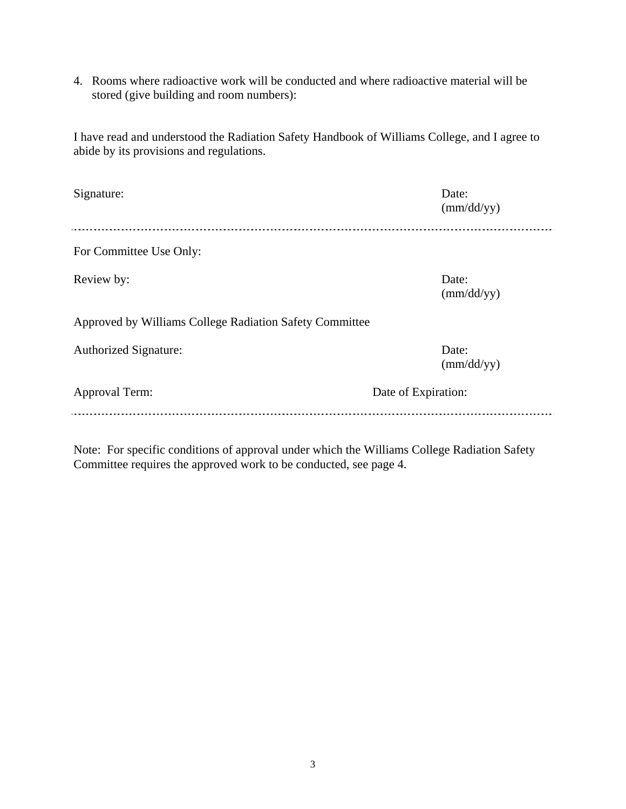4. Rooms where radioactive work will be conducted and where radioactive material will be stored (give building and room numbers):

I have read and understood the Radiation Safety Handbook of Williams College, and I agree to abide by its provisions and regulations.

| Signature:                                              | Date:<br>$\text{(mm/dd/yy)}$ |
|---------------------------------------------------------|------------------------------|
| For Committee Use Only:                                 |                              |
| Review by:                                              | Date:<br>$\text{(mm/dd/yy)}$ |
| Approved by Williams College Radiation Safety Committee |                              |
| <b>Authorized Signature:</b>                            | Date:<br>$\text{(mm/dd/yy)}$ |
| Approval Term:                                          | Date of Expiration:          |
|                                                         |                              |

Note: For specific conditions of approval under which the Williams College Radiation Safety Committee requires the approved work to be conducted, see page 4.